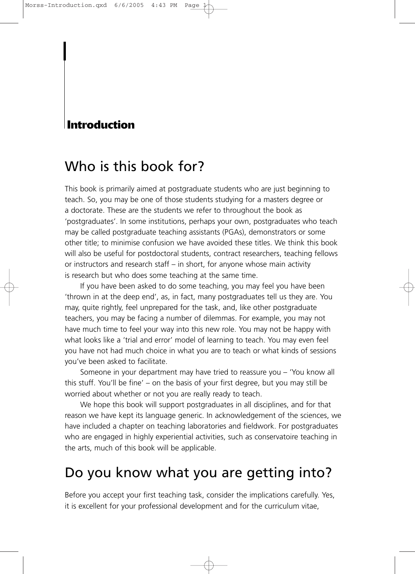### **Introduction**

## Who is this book for?

This book is primarily aimed at postgraduate students who are just beginning to teach. So, you may be one of those students studying for a masters degree or a doctorate. These are the students we refer to throughout the book as 'postgraduates'. In some institutions, perhaps your own, postgraduates who teach may be called postgraduate teaching assistants (PGAs), demonstrators or some other title; to minimise confusion we have avoided these titles. We think this book will also be useful for postdoctoral students, contract researchers, teaching fellows or instructors and research staff – in short, for anyone whose main activity is research but who does some teaching at the same time.

If you have been asked to do some teaching, you may feel you have been 'thrown in at the deep end', as, in fact, many postgraduates tell us they are. You may, quite rightly, feel unprepared for the task, and, like other postgraduate teachers, you may be facing a number of dilemmas. For example, you may not have much time to feel your way into this new role. You may not be happy with what looks like a 'trial and error' model of learning to teach. You may even feel you have not had much choice in what you are to teach or what kinds of sessions you've been asked to facilitate.

Someone in your department may have tried to reassure you – 'You know all this stuff. You'll be fine' – on the basis of your first degree, but you may still be worried about whether or not you are really ready to teach.

We hope this book will support postgraduates in all disciplines, and for that reason we have kept its language generic. In acknowledgement of the sciences, we have included a chapter on teaching laboratories and fieldwork. For postgraduates who are engaged in highly experiential activities, such as conservatoire teaching in the arts, much of this book will be applicable.

## Do you know what you are getting into?

Before you accept your first teaching task, consider the implications carefully. Yes, it is excellent for your professional development and for the curriculum vitae,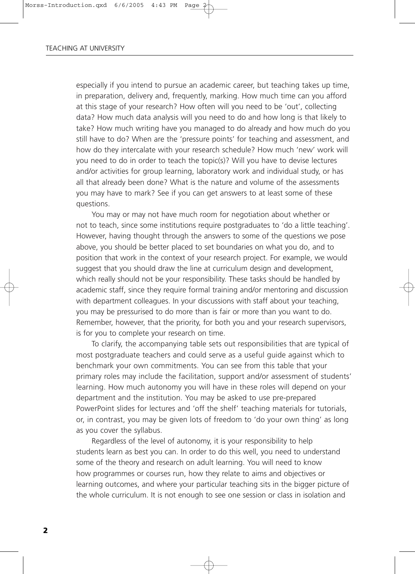#### TEACHING AT UNIVERSITY

especially if you intend to pursue an academic career, but teaching takes up time, in preparation, delivery and, frequently, marking. How much time can you afford at this stage of your research? How often will you need to be 'out', collecting data? How much data analysis will you need to do and how long is that likely to take? How much writing have you managed to do already and how much do you still have to do? When are the 'pressure points' for teaching and assessment, and how do they intercalate with your research schedule? How much 'new' work will you need to do in order to teach the topic(s)? Will you have to devise lectures and/or activities for group learning, laboratory work and individual study, or has all that already been done? What is the nature and volume of the assessments you may have to mark? See if you can get answers to at least some of these questions.

You may or may not have much room for negotiation about whether or not to teach, since some institutions require postgraduates to 'do a little teaching'. However, having thought through the answers to some of the questions we pose above, you should be better placed to set boundaries on what you do, and to position that work in the context of your research project. For example, we would suggest that you should draw the line at curriculum design and development, which really should not be your responsibility. These tasks should be handled by academic staff, since they require formal training and/or mentoring and discussion with department colleagues. In your discussions with staff about your teaching, you may be pressurised to do more than is fair or more than you want to do. Remember, however, that the priority, for both you and your research supervisors, is for you to complete your research on time.

To clarify, the accompanying table sets out responsibilities that are typical of most postgraduate teachers and could serve as a useful guide against which to benchmark your own commitments. You can see from this table that your primary roles may include the facilitation, support and/or assessment of students' learning. How much autonomy you will have in these roles will depend on your department and the institution. You may be asked to use pre-prepared PowerPoint slides for lectures and 'off the shelf' teaching materials for tutorials, or, in contrast, you may be given lots of freedom to 'do your own thing' as long as you cover the syllabus.

Regardless of the level of autonomy, it is your responsibility to help students learn as best you can. In order to do this well, you need to understand some of the theory and research on adult learning. You will need to know how programmes or courses run, how they relate to aims and objectives or learning outcomes, and where your particular teaching sits in the bigger picture of the whole curriculum. It is not enough to see one session or class in isolation and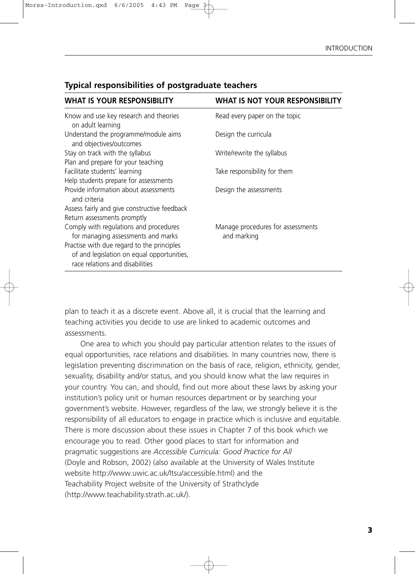Morss-Introduction.qxd 6/6/2005 4:43 PM Page 3

| <b>WHAT IS NOT YOUR RESPONSIBILITY</b> |                                                  |
|----------------------------------------|--------------------------------------------------|
| Read every paper on the topic          |                                                  |
| Design the curricula                   |                                                  |
| Write/rewrite the syllabus             |                                                  |
|                                        | Take responsibility for them                     |
| Design the assessments                 |                                                  |
|                                        | Manage procedures for assessments<br>and marking |
|                                        |                                                  |

### **Typical responsibilities of postgraduate teachers**

plan to teach it as a discrete event. Above all, it is crucial that the learning and teaching activities you decide to use are linked to academic outcomes and assessments.

One area to which you should pay particular attention relates to the issues of equal opportunities, race relations and disabilities. In many countries now, there is legislation preventing discrimination on the basis of race, religion, ethnicity, gender, sexuality, disability and/or status, and you should know what the law requires in your country. You can, and should, find out more about these laws by asking your institution's policy unit or human resources department or by searching your government's website. However, regardless of the law, we strongly believe it is the responsibility of all educators to engage in practice which is inclusive and equitable. There is more discussion about these issues in Chapter 7 of this book which we encourage you to read. Other good places to start for information and pragmatic suggestions are *Accessible Curricula: Good Practice for All* (Doyle and Robson, 2002) (also available at the University of Wales Institute website http://www.uwic.ac.uk/ltsu/accessible.html) and the Teachability Project website of the University of Strathclyde (http://www.teachability.strath.ac.uk/).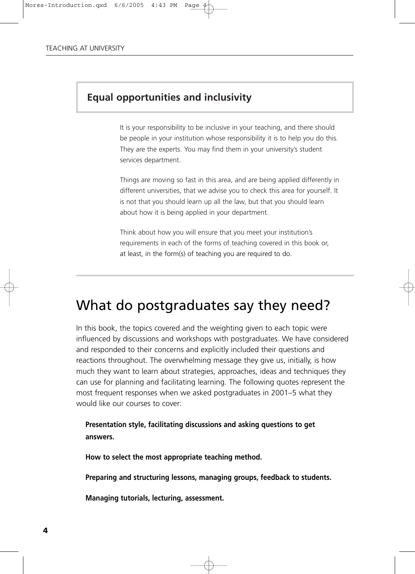#### TEACHING AT UNIVERSITY

### **Equal opportunities and inclusivity**

It is your responsibility to be inclusive in your teaching, and there should be people in your institution whose responsibility it is to help you do this. They are the experts. You may find them in your university's student services department.

Things are moving so fast in this area, and are being applied differently in different universities, that we advise you to check this area for yourself. It is not that you should learn up all the law, but that you should learn about how it is being applied in your department.

Think about how you will ensure that you meet your institution's requirements in each of the forms of teaching covered in this book or, at least, in the form(s) of teaching you are required to do.

## What do postgraduates say they need?

In this book, the topics covered and the weighting given to each topic were influenced by discussions and workshops with postgraduates. We have considered and responded to their concerns and explicitly included their questions and reactions throughout. The overwhelming message they give us, initially, is how much they want to learn about strategies, approaches, ideas and techniques they can use for planning and facilitating learning. The following quotes represent the most frequent responses when we asked postgraduates in 2001–5 what they would like our courses to cover:

**Presentation style, facilitating discussions and asking questions to get answers.**

**How to select the most appropriate teaching method.**

**Preparing and structuring lessons, managing groups, feedback to students.**

**Managing tutorials, lecturing, assessment.**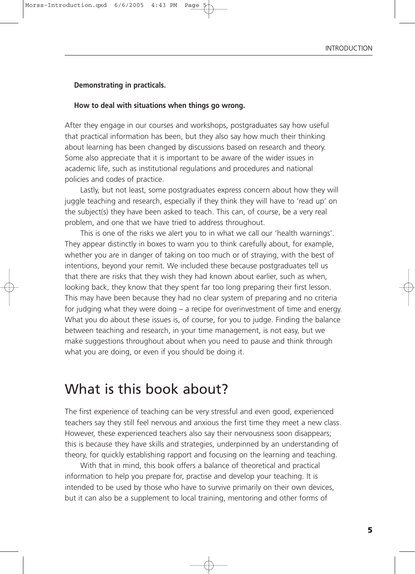#### **Demonstrating in practicals.**

#### **How to deal with situations when things go wrong.**

After they engage in our courses and workshops, postgraduates say how useful that practical information has been, but they also say how much their thinking about learning has been changed by discussions based on research and theory. Some also appreciate that it is important to be aware of the wider issues in academic life, such as institutional regulations and procedures and national policies and codes of practice.

Lastly, but not least, some postgraduates express concern about how they will juggle teaching and research, especially if they think they will have to 'read up' on the subject(s) they have been asked to teach. This can, of course, be a very real problem, and one that we have tried to address throughout.

This is one of the risks we alert you to in what we call our 'health warnings'. They appear distinctly in boxes to warn you to think carefully about, for example, whether you are in danger of taking on too much or of straying, with the best of intentions, beyond your remit. We included these because postgraduates tell us that there are risks that they wish they had known about earlier, such as when, looking back, they know that they spent far too long preparing their first lesson. This may have been because they had no clear system of preparing and no criteria for judging what they were doing – a recipe for overinvestment of time and energy. What you do about these issues is, of course, for you to judge. Finding the balance between teaching and research, in your time management, is not easy, but we make suggestions throughout about when you need to pause and think through what you are doing, or even if you should be doing it.

## What is this book about?

The first experience of teaching can be very stressful and even good, experienced teachers say they still feel nervous and anxious the first time they meet a new class. However, these experienced teachers also say their nervousness soon disappears; this is because they have skills and strategies, underpinned by an understanding of theory, for quickly establishing rapport and focusing on the learning and teaching.

With that in mind, this book offers a balance of theoretical and practical information to help you prepare for, practise and develop your teaching. It is intended to be used by those who have to survive primarily on their own devices, but it can also be a supplement to local training, mentoring and other forms of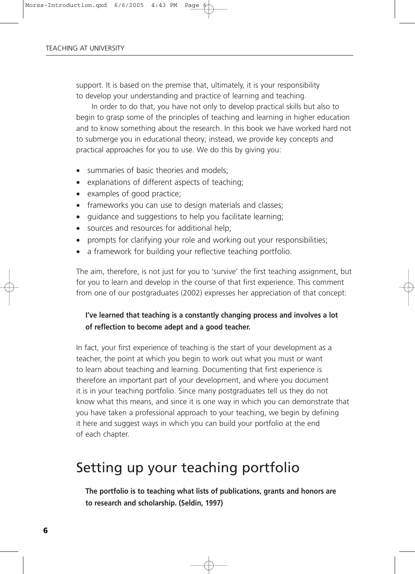### TEACHING AT UNIVERSITY

support. It is based on the premise that, ultimately, it is your responsibility to develop your understanding and practice of learning and teaching.

In order to do that, you have not only to develop practical skills but also to begin to grasp some of the principles of teaching and learning in higher education and to know something about the research. In this book we have worked hard not to submerge you in educational theory; instead, we provide key concepts and practical approaches for you to use. We do this by giving you:

- summaries of basic theories and models:
- explanations of different aspects of teaching;
- examples of good practice;
- frameworks you can use to design materials and classes;
- guidance and suggestions to help you facilitate learning;
- sources and resources for additional help;
- prompts for clarifying your role and working out your responsibilities;
- a framework for building your reflective teaching portfolio.

The aim, therefore, is not just for you to 'survive' the first teaching assignment, but for you to learn and develop in the course of that first experience. This comment from one of our postgraduates (2002) expresses her appreciation of that concept:

### **I've learned that teaching is a constantly changing process and involves a lot of reflection to become adept and a good teacher.**

In fact, your first experience of teaching is the start of your development as a teacher, the point at which you begin to work out what you must or want to learn about teaching and learning. Documenting that first experience is therefore an important part of your development, and where you document it is in your teaching portfolio. Since many postgraduates tell us they do not know what this means, and since it is one way in which you can demonstrate that you have taken a professional approach to your teaching, we begin by defining it here and suggest ways in which you can build your portfolio at the end of each chapter.

# Setting up your teaching portfolio

**The portfolio is to teaching what lists of publications, grants and honors are to research and scholarship. (Seldin, 1997)**